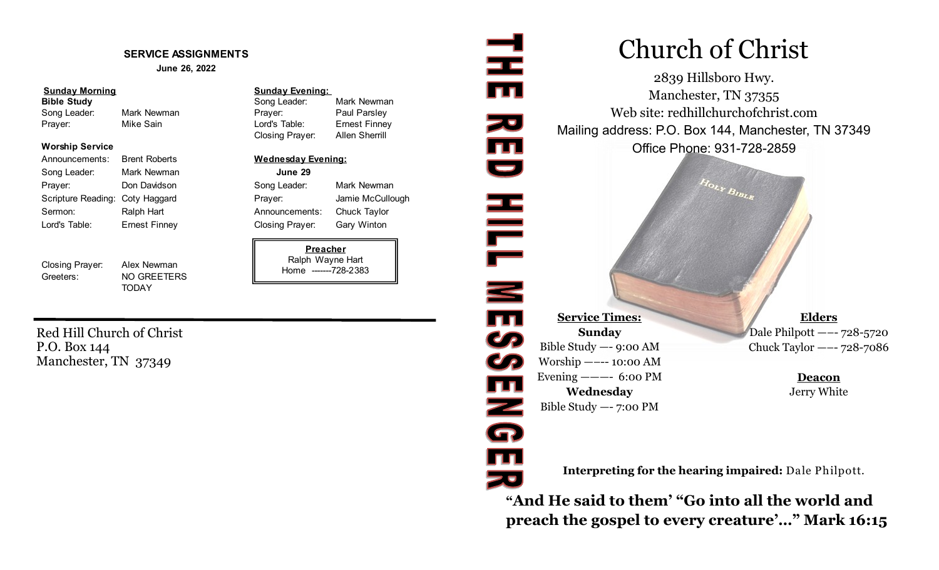#### **SERVICE ASSIGNMENTS**

**June 26, 2022**

#### **Sunday Morning Sunday Evening:**

#### **Worship Service**

| Announcements:                  | <b>Brent Roberts</b> | <b>Wednesday</b>     |
|---------------------------------|----------------------|----------------------|
| Song Leader:                    | Mark Newman          | June 29              |
| Prayer:                         | Don Davidson         | Song Leader:         |
| Scripture Reading: Coty Haggard |                      | Prayer:              |
| Sermon:                         | Ralph Hart           | Announcemer          |
| Lord's Table:                   | <b>Ernest Finney</b> | <b>Closing Praye</b> |

Closing Prayer: Alex Newman Greeters: NO GREETERS

**TODAY** 

#### **Bible Study Song Leader:** Mark Newman **Bible Study** Song Leader: Mark Newman Song Leader: Mark Newman **Prayer:** Paul Parsley Prayer: Mike Sain Lord's Table: Ernest Finney Closing Prayer: Allen Sherrill

#### **Wednesday Evening:**

Song Leader: Mark Newman Prayer: Jamie McCullough Announcements: Chuck Taylor Closing Prayer: Gary Winton

#### **Preacher** Ralph Wayne Hart Home -------728-2383

Red Hill Church of Christ P.O. Box 144 Manchester, TN 37349

# Church of Christ

2839 Hillsboro Hwy. Manchester, TN 37355 Web site: redhillchurchofchrist.com Mailing address: P.O. Box 144, Manchester, TN 37349 Office Phone: 931-728-2859

 $H_{OLY}$   $B_{IBL_R}$ 

**Service Times: Sunday** Bible Study —- 9:00 AM Worship —–-- 10:00 AM Evening  $--- 6:00 \text{ PM}$ **Wednesday** Bible Study —- 7:00 PM

로

zu<br>III<br>U

HILL NE39

 $\overline{\mathbf{m}}$ 

Z<br>G

TI<br>Ze

**Elders** Dale Philpott —–- 728-5720 Chuck Taylor —–- 728-7086

> **Deacon** Jerry White

**Interpreting for the hearing impaired:** Dale Philpott.

**"And He said to them' "Go into all the world and preach the gospel to every creature'…" Mark 16:15**